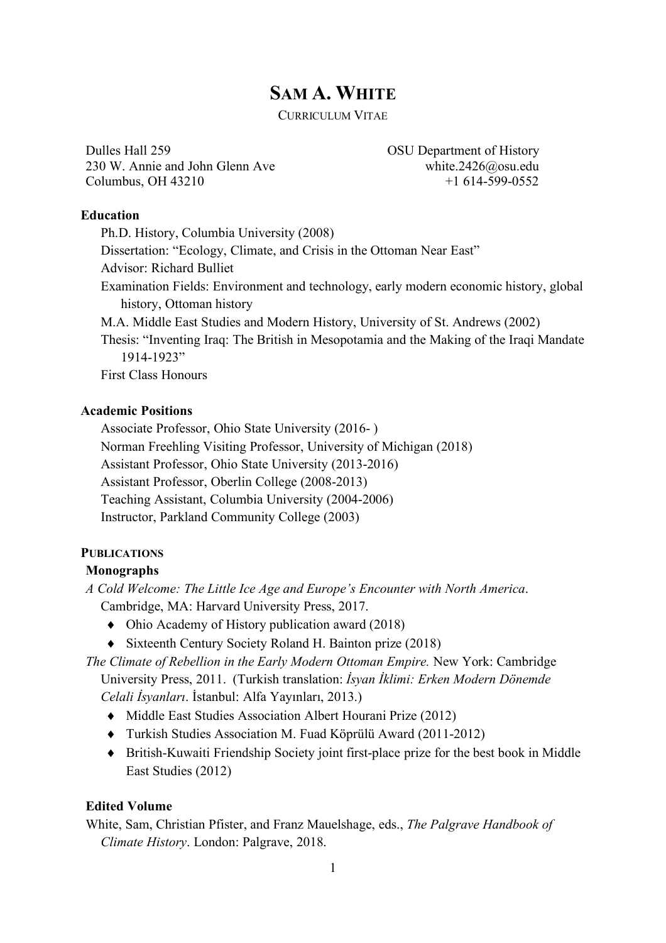# **SAM A. WHITE**

CURRICULUM VITAE

Dulles Hall 259 230 W. Annie and John Glenn Ave Columbus, OH 43210

OSU Department of History white.2426@osu.edu  $+1$  614-599-0552

### **Education**

Ph.D. History, Columbia University (2008) Dissertation: "Ecology, Climate, and Crisis in the Ottoman Near East" Advisor: Richard Bulliet Examination Fields: Environment and technology, early modern economic history, global history, Ottoman history M.A. Middle East Studies and Modern History, University of St. Andrews (2002) Thesis: "Inventing Iraq: The British in Mesopotamia and the Making of the Iraqi Mandate 1914-1923" First Class Honours

# **Academic Positions**

Associate Professor, Ohio State University (2016- ) Norman Freehling Visiting Professor, University of Michigan (2018) Assistant Professor, Ohio State University (2013-2016) Assistant Professor, Oberlin College (2008-2013) Teaching Assistant, Columbia University (2004-2006) Instructor, Parkland Community College (2003)

# **PUBLICATIONS**

### **Monographs**

*A Cold Welcome: The Little Ice Age and Europe's Encounter with North America*. Cambridge, MA: Harvard University Press, 2017.

- $\bullet$  Ohio Academy of History publication award (2018)
- $\bullet$  Sixteenth Century Society Roland H. Bainton prize (2018)

*The Climate of Rebellion in the Early Modern Ottoman Empire.* New York: Cambridge University Press, 2011. (Turkish translation: *İsyan İklimi: Erken Modern Dönemde Celali İsyanları*. İstanbul: Alfa Yayınları, 2013.)

- Middle East Studies Association Albert Hourani Prize (2012)
- ¨ Turkish Studies Association M. Fuad Köprülü Award (2011-2012)
- British-Kuwaiti Friendship Society joint first-place prize for the best book in Middle East Studies (2012)

# **Edited Volume**

White, Sam, Christian Pfister, and Franz Mauelshage, eds., *The Palgrave Handbook of Climate History*. London: Palgrave, 2018.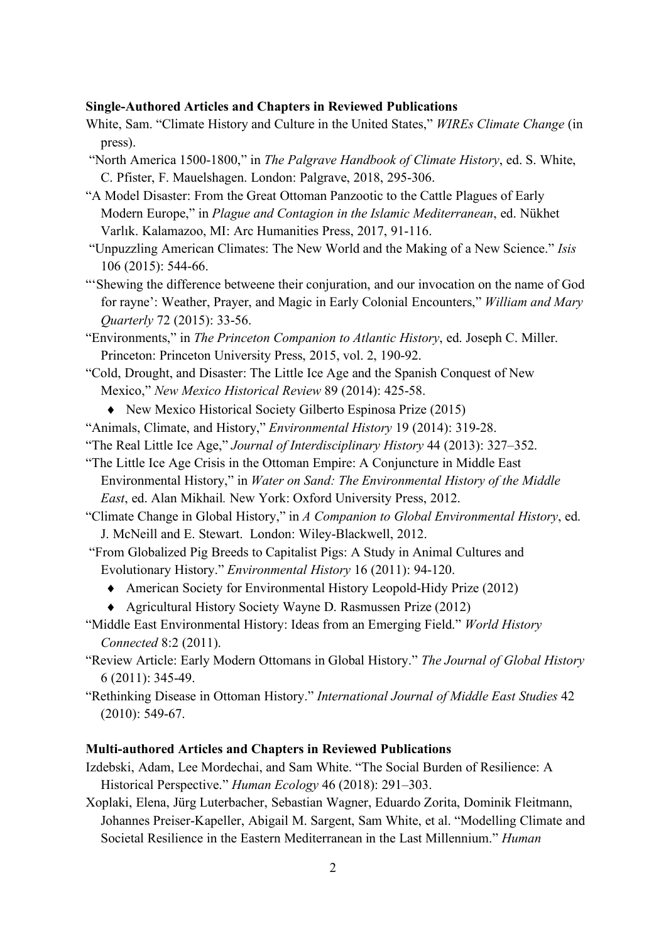### **Single-Authored Articles and Chapters in Reviewed Publications**

- White, Sam. "Climate History and Culture in the United States," *WIREs Climate Change* (in press).
- "North America 1500-1800," in *The Palgrave Handbook of Climate History*, ed. S. White, C. Pfister, F. Mauelshagen. London: Palgrave, 2018, 295-306.
- "A Model Disaster: From the Great Ottoman Panzootic to the Cattle Plagues of Early Modern Europe," in *Plague and Contagion in the Islamic Mediterranean*, ed. Nükhet Varlık. Kalamazoo, MI: Arc Humanities Press, 2017, 91-116.
- "Unpuzzling American Climates: The New World and the Making of a New Science." *Isis* 106 (2015): 544-66.
- "'Shewing the difference betweene their conjuration, and our invocation on the name of God for rayne': Weather, Prayer, and Magic in Early Colonial Encounters," *William and Mary Quarterly* 72 (2015): 33-56.
- "Environments," in *The Princeton Companion to Atlantic History*, ed. Joseph C. Miller. Princeton: Princeton University Press, 2015, vol. 2, 190-92.
- "Cold, Drought, and Disaster: The Little Ice Age and the Spanish Conquest of New Mexico," *New Mexico Historical Review* 89 (2014): 425-58.
	- $\blacklozenge$  New Mexico Historical Society Gilberto Espinosa Prize (2015)
- "Animals, Climate, and History," *Environmental History* 19 (2014): 319-28.
- "The Real Little Ice Age," *Journal of Interdisciplinary History* 44 (2013): 327–352.
- "The Little Ice Age Crisis in the Ottoman Empire: A Conjuncture in Middle East Environmental History," in *Water on Sand: The Environmental History of the Middle East*, ed. Alan Mikhail*.* New York: Oxford University Press, 2012.
- "Climate Change in Global History," in *A Companion to Global Environmental History*, ed. J. McNeill and E. Stewart. London: Wiley-Blackwell, 2012.
- "From Globalized Pig Breeds to Capitalist Pigs: A Study in Animal Cultures and Evolutionary History." *Environmental History* 16 (2011): 94-120.
	- American Society for Environmental History Leopold-Hidy Prize (2012)
	- $\triangle$  Agricultural History Society Wayne D. Rasmussen Prize (2012)
- "Middle East Environmental History: Ideas from an Emerging Field." *World History Connected* 8:2 (2011).
- "Review Article: Early Modern Ottomans in Global History." *The Journal of Global History* 6 (2011): 345-49.
- "Rethinking Disease in Ottoman History." *International Journal of Middle East Studies* 42 (2010): 549-67.

### **Multi-authored Articles and Chapters in Reviewed Publications**

- Izdebski, Adam, Lee Mordechai, and Sam White. "The Social Burden of Resilience: A Historical Perspective." *Human Ecology* 46 (2018): 291–303.
- Xoplaki, Elena, Jürg Luterbacher, Sebastian Wagner, Eduardo Zorita, Dominik Fleitmann, Johannes Preiser-Kapeller, Abigail M. Sargent, Sam White, et al. "Modelling Climate and Societal Resilience in the Eastern Mediterranean in the Last Millennium." *Human*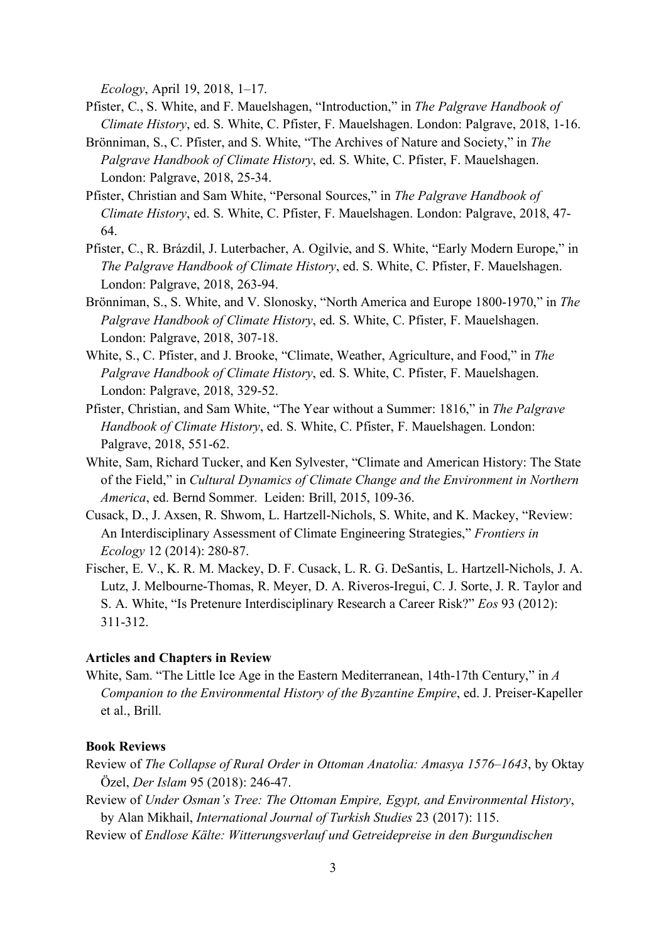*Ecology*, April 19, 2018, 1–17.

- Pfister, C., S. White, and F. Mauelshagen, "Introduction," in *The Palgrave Handbook of Climate History*, ed. S. White, C. Pfister, F. Mauelshagen. London: Palgrave, 2018, 1-16.
- Brönniman, S., C. Pfister, and S. White, "The Archives of Nature and Society," in *The Palgrave Handbook of Climate History*, ed. S. White, C. Pfister, F. Mauelshagen. London: Palgrave, 2018, 25-34.
- Pfister, Christian and Sam White, "Personal Sources," in *The Palgrave Handbook of Climate History*, ed. S. White, C. Pfister, F. Mauelshagen. London: Palgrave, 2018, 47- 64.
- Pfister, C., R. Brázdil, J. Luterbacher, A. Ogilvie, and S. White, "Early Modern Europe," in *The Palgrave Handbook of Climate History*, ed. S. White, C. Pfister, F. Mauelshagen. London: Palgrave, 2018, 263-94.
- Brönniman, S., S. White, and V. Slonosky, "North America and Europe 1800-1970," in *The Palgrave Handbook of Climate History*, ed. S. White, C. Pfister, F. Mauelshagen. London: Palgrave, 2018, 307-18.
- White, S., C. Pfister, and J. Brooke, "Climate, Weather, Agriculture, and Food," in *The Palgrave Handbook of Climate History*, ed. S. White, C. Pfister, F. Mauelshagen. London: Palgrave, 2018, 329-52.
- Pfister, Christian, and Sam White, "The Year without a Summer: 1816," in *The Palgrave Handbook of Climate History*, ed. S. White, C. Pfister, F. Mauelshagen. London: Palgrave, 2018, 551-62.
- White, Sam, Richard Tucker, and Ken Sylvester, "Climate and American History: The State of the Field," in *Cultural Dynamics of Climate Change and the Environment in Northern America*, ed. Bernd Sommer. Leiden: Brill, 2015, 109-36.
- Cusack, D., J. Axsen, R. Shwom, L. Hartzell-Nichols, S. White, and K. Mackey, "Review: An Interdisciplinary Assessment of Climate Engineering Strategies," *Frontiers in Ecology* 12 (2014): 280-87.
- Fischer, E. V., K. R. M. Mackey, D. F. Cusack, L. R. G. DeSantis, L. Hartzell-Nichols, J. A. Lutz, J. Melbourne-Thomas, R. Meyer, D. A. Riveros-Iregui, C. J. Sorte, J. R. Taylor and S. A. White, "Is Pretenure Interdisciplinary Research a Career Risk?" *Eos* 93 (2012): 311-312.

### **Articles and Chapters in Review**

White, Sam. "The Little Ice Age in the Eastern Mediterranean, 14th-17th Century," in *A Companion to the Environmental History of the Byzantine Empire*, ed. J. Preiser-Kapeller et al., Brill.

### **Book Reviews**

- Review of *The Collapse of Rural Order in Ottoman Anatolia: Amasya 1576–1643*, by Oktav Özel, *Der Islam* 95 (2018): 246-47.
- Review of *Under Osman's Tree: The Ottoman Empire, Egypt, and Environmental History*, by Alan Mikhail, *International Journal of Turkish Studies* 23 (2017): 115.
- Review of *Endlose Kälte: Witterungsverlauf und Getreidepreise in den Burgundischen*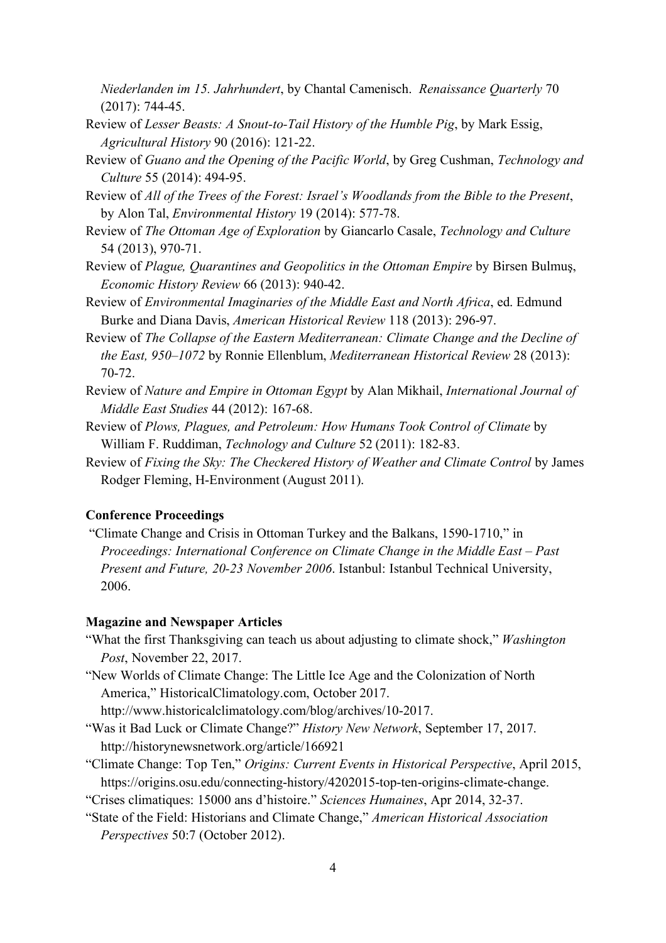*Niederlanden im 15. Jahrhundert*, by Chantal Camenisch. *Renaissance Quarterly* 70 (2017): 744-45.

- Review of *Lesser Beasts: A Snout-to-Tail History of the Humble Pig*, by Mark Essig, *Agricultural History* 90 (2016): 121-22.
- Review of *Guano and the Opening of the Pacific World*, by Greg Cushman, *Technology and Culture* 55 (2014): 494-95.
- Review of *All of the Trees of the Forest: Israel's Woodlands from the Bible to the Present*, by Alon Tal, *Environmental History* 19 (2014): 577-78.
- Review of *The Ottoman Age of Exploration* by Giancarlo Casale, *Technology and Culture* 54 (2013), 970-71.
- Review of *Plague, Quarantines and Geopolitics in the Ottoman Empire* by Birsen Bulmuş, *Economic History Review* 66 (2013): 940-42.
- Review of *Environmental Imaginaries of the Middle East and North Africa*, ed. Edmund Burke and Diana Davis, *American Historical Review* 118 (2013): 296-97.
- Review of *The Collapse of the Eastern Mediterranean: Climate Change and the Decline of the East, 950–1072* by Ronnie Ellenblum, *Mediterranean Historical Review* 28 (2013): 70-72.
- Review of *Nature and Empire in Ottoman Egypt* by Alan Mikhail, *International Journal of Middle East Studies* 44 (2012): 167-68.
- Review of *Plows, Plagues, and Petroleum: How Humans Took Control of Climate* by William F. Ruddiman, *Technology and Culture* 52 (2011): 182-83.
- Review of *Fixing the Sky: The Checkered History of Weather and Climate Control* by James Rodger Fleming, H-Environment (August 2011).

### **Conference Proceedings**

"Climate Change and Crisis in Ottoman Turkey and the Balkans, 1590-1710," in *Proceedings: International Conference on Climate Change in the Middle East – Past Present and Future, 20-23 November 2006*. Istanbul: Istanbul Technical University, 2006.

### **Magazine and Newspaper Articles**

- "What the first Thanksgiving can teach us about adjusting to climate shock," *Washington Post*, November 22, 2017.
- "New Worlds of Climate Change: The Little Ice Age and the Colonization of North America," HistoricalClimatology.com, October 2017.

http://www.historicalclimatology.com/blog/archives/10-2017.

- "Was it Bad Luck or Climate Change?" *History New Network*, September 17, 2017. http://historynewsnetwork.org/article/166921
- "Climate Change: Top Ten," *Origins: Current Events in Historical Perspective*, April 2015, https://origins.osu.edu/connecting-history/4202015-top-ten-origins-climate-change.

"Crises climatiques: 15000 ans d'histoire." *Sciences Humaines*, Apr 2014, 32-37.

"State of the Field: Historians and Climate Change," *American Historical Association Perspectives* 50:7 (October 2012).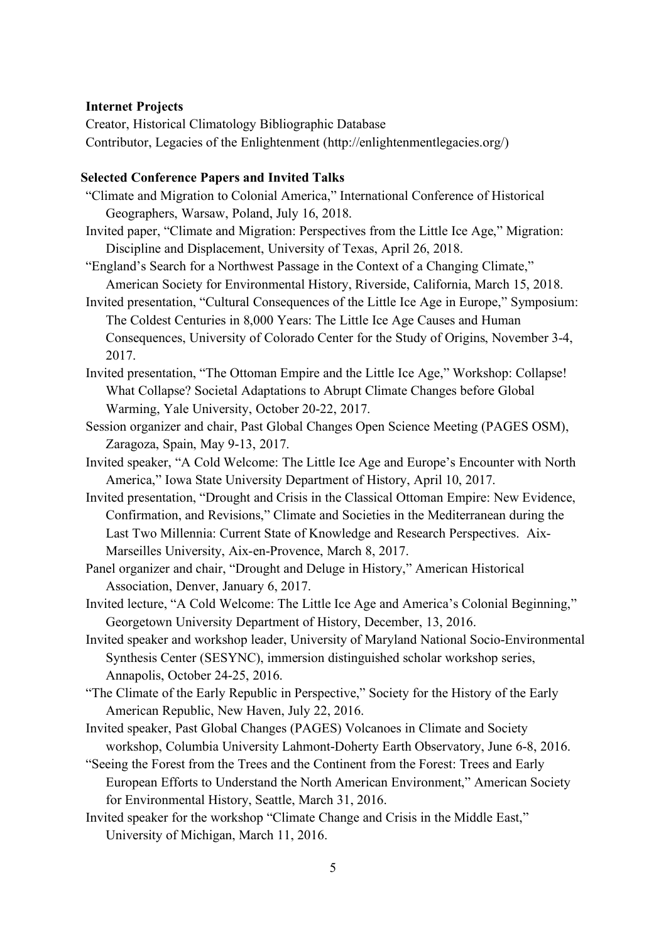### **Internet Projects**

Creator, Historical Climatology Bibliographic Database Contributor, Legacies of the Enlightenment (http://enlightenmentlegacies.org/)

# **Selected Conference Papers and Invited Talks**

- "Climate and Migration to Colonial America," International Conference of Historical Geographers, Warsaw, Poland, July 16, 2018.
- Invited paper, "Climate and Migration: Perspectives from the Little Ice Age," Migration: Discipline and Displacement, University of Texas, April 26, 2018.
- "England's Search for a Northwest Passage in the Context of a Changing Climate," American Society for Environmental History, Riverside, California, March 15, 2018.
- Invited presentation, "Cultural Consequences of the Little Ice Age in Europe," Symposium: The Coldest Centuries in 8,000 Years: The Little Ice Age Causes and Human Consequences, University of Colorado Center for the Study of Origins, November 3-4, 2017.
- Invited presentation, "The Ottoman Empire and the Little Ice Age," Workshop: Collapse! What Collapse? Societal Adaptations to Abrupt Climate Changes before Global Warming, Yale University, October 20-22, 2017.
- Session organizer and chair, Past Global Changes Open Science Meeting (PAGES OSM), Zaragoza, Spain, May 9-13, 2017.
- Invited speaker, "A Cold Welcome: The Little Ice Age and Europe's Encounter with North America," Iowa State University Department of History, April 10, 2017.
- Invited presentation, "Drought and Crisis in the Classical Ottoman Empire: New Evidence, Confirmation, and Revisions," Climate and Societies in the Mediterranean during the Last Two Millennia: Current State of Knowledge and Research Perspectives. Aix-Marseilles University, Aix-en-Provence, March 8, 2017.
- Panel organizer and chair, "Drought and Deluge in History," American Historical Association, Denver, January 6, 2017.
- Invited lecture, "A Cold Welcome: The Little Ice Age and America's Colonial Beginning," Georgetown University Department of History, December, 13, 2016.
- Invited speaker and workshop leader, University of Maryland National Socio-Environmental Synthesis Center (SESYNC), immersion distinguished scholar workshop series, Annapolis, October 24-25, 2016.
- "The Climate of the Early Republic in Perspective," Society for the History of the Early American Republic, New Haven, July 22, 2016.
- Invited speaker, Past Global Changes (PAGES) Volcanoes in Climate and Society workshop, Columbia University Lahmont-Doherty Earth Observatory, June 6-8, 2016.
- "Seeing the Forest from the Trees and the Continent from the Forest: Trees and Early European Efforts to Understand the North American Environment," American Society for Environmental History, Seattle, March 31, 2016.
- Invited speaker for the workshop "Climate Change and Crisis in the Middle East," University of Michigan, March 11, 2016.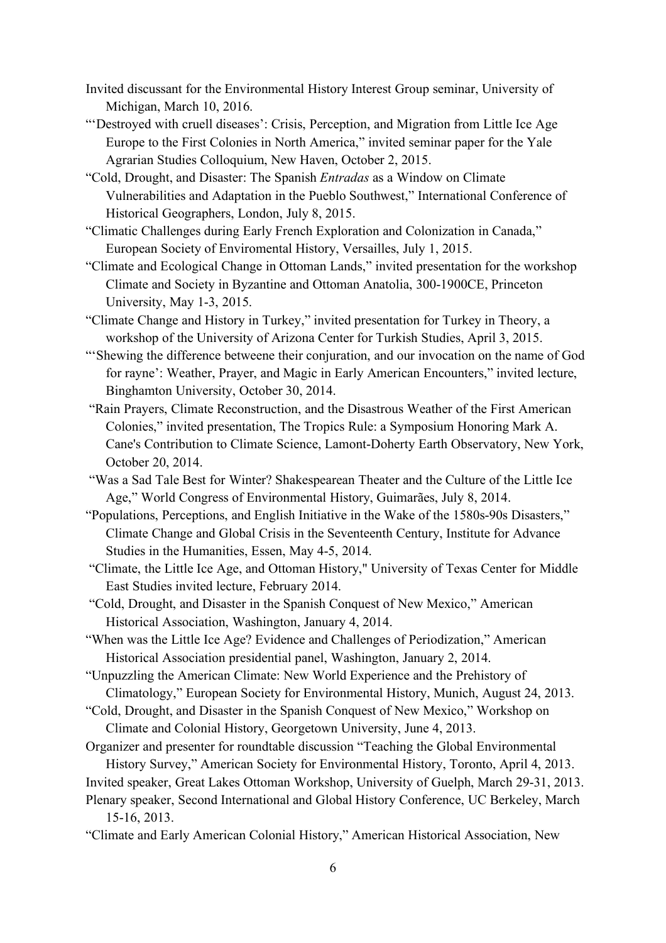- Invited discussant for the Environmental History Interest Group seminar, University of Michigan, March 10, 2016.
- "'Destroyed with cruell diseases': Crisis, Perception, and Migration from Little Ice Age Europe to the First Colonies in North America," invited seminar paper for the Yale Agrarian Studies Colloquium, New Haven, October 2, 2015.
- "Cold, Drought, and Disaster: The Spanish *Entradas* as a Window on Climate Vulnerabilities and Adaptation in the Pueblo Southwest," International Conference of Historical Geographers, London, July 8, 2015.
- "Climatic Challenges during Early French Exploration and Colonization in Canada," European Society of Enviromental History, Versailles, July 1, 2015.
- "Climate and Ecological Change in Ottoman Lands," invited presentation for the workshop Climate and Society in Byzantine and Ottoman Anatolia, 300-1900CE, Princeton University, May 1-3, 2015.
- "Climate Change and History in Turkey," invited presentation for Turkey in Theory, a workshop of the University of Arizona Center for Turkish Studies, April 3, 2015.
- "'Shewing the difference betweene their conjuration, and our invocation on the name of God for rayne': Weather, Prayer, and Magic in Early American Encounters," invited lecture, Binghamton University, October 30, 2014.
- "Rain Prayers, Climate Reconstruction, and the Disastrous Weather of the First American Colonies," invited presentation, The Tropics Rule: a Symposium Honoring Mark A. Cane's Contribution to Climate Science, Lamont-Doherty Earth Observatory, New York, October 20, 2014.
- "Was a Sad Tale Best for Winter? Shakespearean Theater and the Culture of the Little Ice Age," World Congress of Environmental History, Guimarães, July 8, 2014.
- "Populations, Perceptions, and English Initiative in the Wake of the 1580s-90s Disasters," Climate Change and Global Crisis in the Seventeenth Century, Institute for Advance Studies in the Humanities, Essen, May 4-5, 2014.

"Climate, the Little Ice Age, and Ottoman History," University of Texas Center for Middle East Studies invited lecture, February 2014.

- "Cold, Drought, and Disaster in the Spanish Conquest of New Mexico," American Historical Association, Washington, January 4, 2014.
- "When was the Little Ice Age? Evidence and Challenges of Periodization," American Historical Association presidential panel, Washington, January 2, 2014.
- "Unpuzzling the American Climate: New World Experience and the Prehistory of Climatology," European Society for Environmental History, Munich, August 24, 2013.
- "Cold, Drought, and Disaster in the Spanish Conquest of New Mexico," Workshop on Climate and Colonial History, Georgetown University, June 4, 2013.
- Organizer and presenter for roundtable discussion "Teaching the Global Environmental History Survey," American Society for Environmental History, Toronto, April 4, 2013.
- Invited speaker, Great Lakes Ottoman Workshop, University of Guelph, March 29-31, 2013. Plenary speaker, Second International and Global History Conference, UC Berkeley, March 15-16, 2013.
- "Climate and Early American Colonial History," American Historical Association, New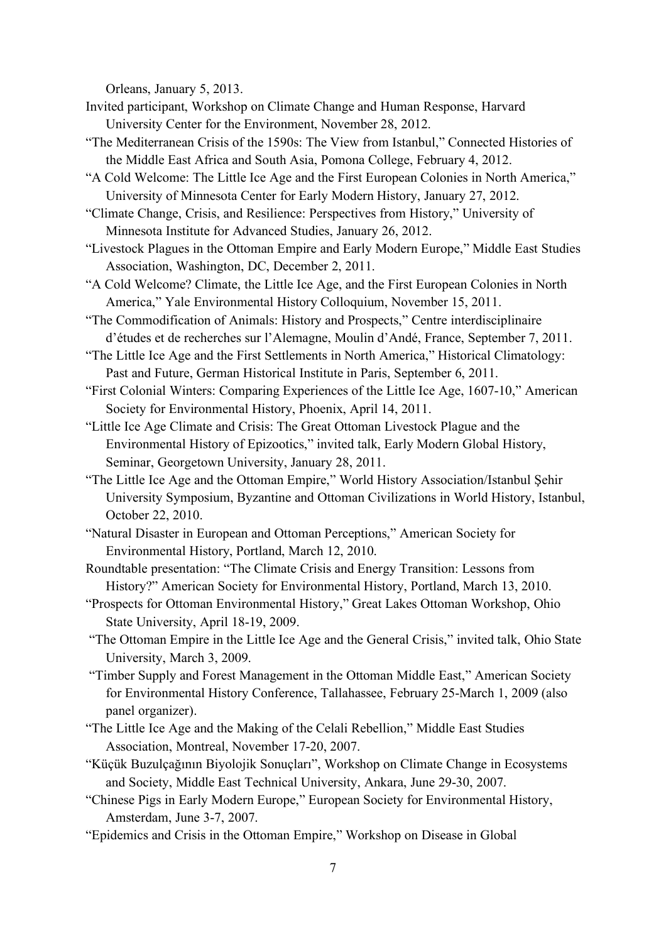Orleans, January 5, 2013.

- Invited participant, Workshop on Climate Change and Human Response, Harvard University Center for the Environment, November 28, 2012.
- "The Mediterranean Crisis of the 1590s: The View from Istanbul," Connected Histories of the Middle East Africa and South Asia, Pomona College, February 4, 2012.
- "A Cold Welcome: The Little Ice Age and the First European Colonies in North America," University of Minnesota Center for Early Modern History, January 27, 2012.
- "Climate Change, Crisis, and Resilience: Perspectives from History," University of Minnesota Institute for Advanced Studies, January 26, 2012.
- "Livestock Plagues in the Ottoman Empire and Early Modern Europe," Middle East Studies Association, Washington, DC, December 2, 2011.
- "A Cold Welcome? Climate, the Little Ice Age, and the First European Colonies in North America," Yale Environmental History Colloquium, November 15, 2011.
- "The Commodification of Animals: History and Prospects," Centre interdisciplinaire d'études et de recherches sur l'Alemagne, Moulin d'Andé, France, September 7, 2011.
- "The Little Ice Age and the First Settlements in North America," Historical Climatology: Past and Future, German Historical Institute in Paris, September 6, 2011.
- "First Colonial Winters: Comparing Experiences of the Little Ice Age, 1607-10," American Society for Environmental History, Phoenix, April 14, 2011.
- "Little Ice Age Climate and Crisis: The Great Ottoman Livestock Plague and the Environmental History of Epizootics," invited talk, Early Modern Global History, Seminar, Georgetown University, January 28, 2011.
- "The Little Ice Age and the Ottoman Empire," World History Association/Istanbul Şehir University Symposium, Byzantine and Ottoman Civilizations in World History, Istanbul, October 22, 2010.
- "Natural Disaster in European and Ottoman Perceptions," American Society for Environmental History, Portland, March 12, 2010.
- Roundtable presentation: "The Climate Crisis and Energy Transition: Lessons from History?" American Society for Environmental History, Portland, March 13, 2010.
- "Prospects for Ottoman Environmental History," Great Lakes Ottoman Workshop, Ohio State University, April 18-19, 2009.
- "The Ottoman Empire in the Little Ice Age and the General Crisis," invited talk, Ohio State University, March 3, 2009.
- "Timber Supply and Forest Management in the Ottoman Middle East," American Society for Environmental History Conference, Tallahassee, February 25-March 1, 2009 (also panel organizer).
- "The Little Ice Age and the Making of the Celali Rebellion," Middle East Studies Association, Montreal, November 17-20, 2007.
- "Küçük Buzulçağının Biyolojik Sonuçları", Workshop on Climate Change in Ecosystems and Society, Middle East Technical University, Ankara, June 29-30, 2007.
- "Chinese Pigs in Early Modern Europe," European Society for Environmental History, Amsterdam, June 3-7, 2007.
- "Epidemics and Crisis in the Ottoman Empire," Workshop on Disease in Global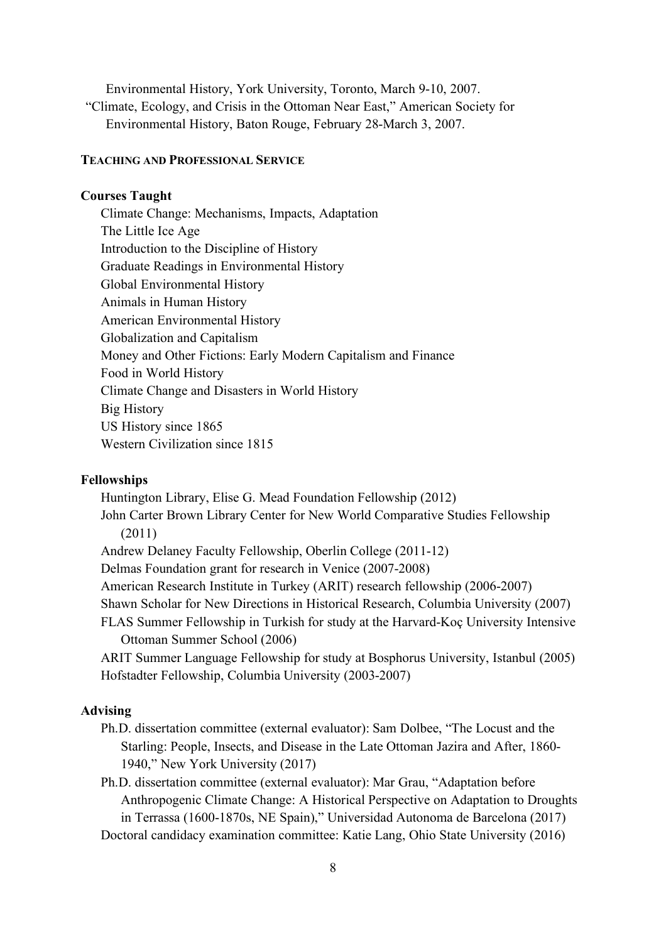Environmental History, York University, Toronto, March 9-10, 2007. "Climate, Ecology, and Crisis in the Ottoman Near East," American Society for Environmental History, Baton Rouge, February 28-March 3, 2007.

#### **TEACHING AND PROFESSIONAL SERVICE**

### **Courses Taught**

Climate Change: Mechanisms, Impacts, Adaptation The Little Ice Age Introduction to the Discipline of History Graduate Readings in Environmental History Global Environmental History Animals in Human History American Environmental History Globalization and Capitalism Money and Other Fictions: Early Modern Capitalism and Finance Food in World History Climate Change and Disasters in World History Big History US History since 1865 Western Civilization since 1815

#### **Fellowships**

Huntington Library, Elise G. Mead Foundation Fellowship (2012) John Carter Brown Library Center for New World Comparative Studies Fellowship (2011) Andrew Delaney Faculty Fellowship, Oberlin College (2011-12) Delmas Foundation grant for research in Venice (2007-2008) American Research Institute in Turkey (ARIT) research fellowship (2006-2007) Shawn Scholar for New Directions in Historical Research, Columbia University (2007) FLAS Summer Fellowship in Turkish for study at the Harvard-Koç University Intensive Ottoman Summer School (2006) ARIT Summer Language Fellowship for study at Bosphorus University, Istanbul (2005) Hofstadter Fellowship, Columbia University (2003-2007)

### **Advising**

Ph.D. dissertation committee (external evaluator): Sam Dolbee, "The Locust and the Starling: People, Insects, and Disease in the Late Ottoman Jazira and After, 1860- 1940," New York University (2017)

Ph.D. dissertation committee (external evaluator): Mar Grau, "Adaptation before Anthropogenic Climate Change: A Historical Perspective on Adaptation to Droughts in Terrassa (1600-1870s, NE Spain)," Universidad Autonoma de Barcelona (2017) Doctoral candidacy examination committee: Katie Lang, Ohio State University (2016)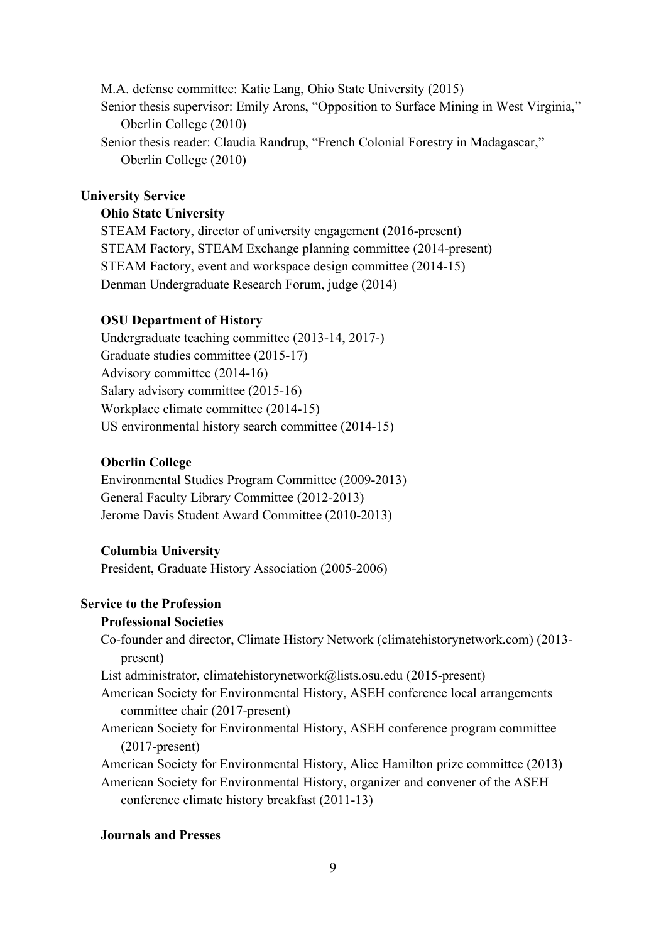M.A. defense committee: Katie Lang, Ohio State University (2015) Senior thesis supervisor: Emily Arons, "Opposition to Surface Mining in West Virginia," Oberlin College (2010) Senior thesis reader: Claudia Randrup, "French Colonial Forestry in Madagascar," Oberlin College (2010)

# **University Service**

### **Ohio State University**

STEAM Factory, director of university engagement (2016-present) STEAM Factory, STEAM Exchange planning committee (2014-present) STEAM Factory, event and workspace design committee (2014-15) Denman Undergraduate Research Forum, judge (2014)

# **OSU Department of History**

Undergraduate teaching committee (2013-14, 2017-) Graduate studies committee (2015-17) Advisory committee (2014-16) Salary advisory committee (2015-16) Workplace climate committee (2014-15) US environmental history search committee (2014-15)

# **Oberlin College**

Environmental Studies Program Committee (2009-2013) General Faculty Library Committee (2012-2013) Jerome Davis Student Award Committee (2010-2013)

### **Columbia University**

President, Graduate History Association (2005-2006)

# **Service to the Profession**

### **Professional Societies**

Co-founder and director, Climate History Network (climatehistorynetwork.com) (2013 present)

List administrator, climatehistorynetwork@lists.osu.edu (2015-present)

American Society for Environmental History, ASEH conference local arrangements committee chair (2017-present)

American Society for Environmental History, ASEH conference program committee (2017-present)

American Society for Environmental History, Alice Hamilton prize committee (2013)

American Society for Environmental History, organizer and convener of the ASEH conference climate history breakfast (2011-13)

# **Journals and Presses**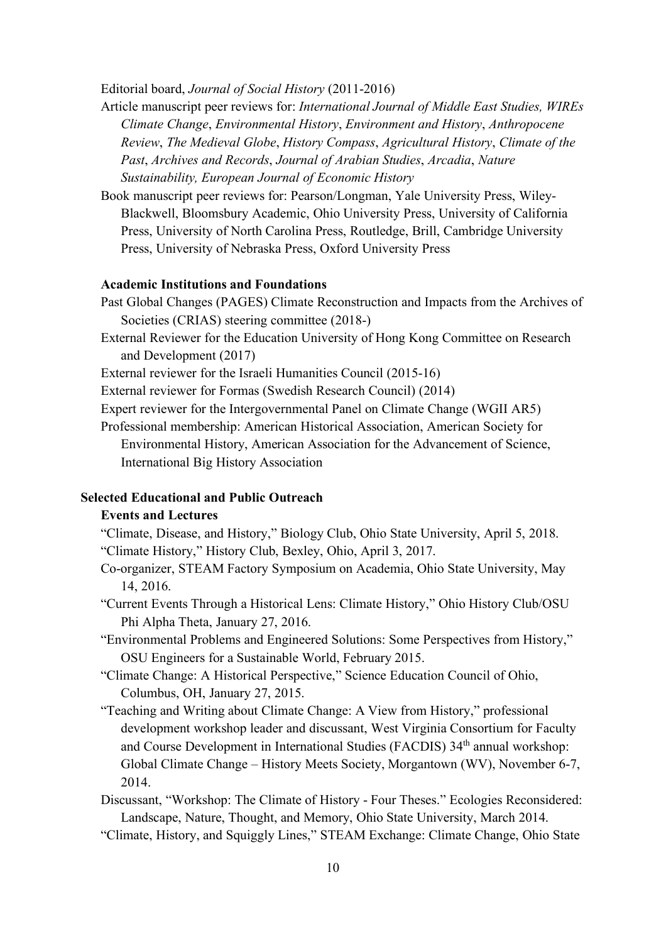Editorial board, *Journal of Social History* (2011-2016)

- Article manuscript peer reviews for: *International Journal of Middle East Studies, WIREs Climate Change*, *Environmental History*, *Environment and History*, *Anthropocene Review*, *The Medieval Globe*, *History Compass*, *Agricultural History*, *Climate of the Past*, *Archives and Records*, *Journal of Arabian Studies*, *Arcadia*, *Nature Sustainability, European Journal of Economic History*
- Book manuscript peer reviews for: Pearson/Longman, Yale University Press, Wiley-Blackwell, Bloomsbury Academic, Ohio University Press, University of California Press, University of North Carolina Press, Routledge, Brill, Cambridge University Press, University of Nebraska Press, Oxford University Press

# **Academic Institutions and Foundations**

- Past Global Changes (PAGES) Climate Reconstruction and Impacts from the Archives of Societies (CRIAS) steering committee (2018-)
- External Reviewer for the Education University of Hong Kong Committee on Research and Development (2017)
- External reviewer for the Israeli Humanities Council (2015-16)
- External reviewer for Formas (Swedish Research Council) (2014)
- Expert reviewer for the Intergovernmental Panel on Climate Change (WGII AR5)
- Professional membership: American Historical Association, American Society for Environmental History, American Association for the Advancement of Science, International Big History Association

### **Selected Educational and Public Outreach**

### **Events and Lectures**

- "Climate, Disease, and History," Biology Club, Ohio State University, April 5, 2018. "Climate History," History Club, Bexley, Ohio, April 3, 2017.
- Co-organizer, STEAM Factory Symposium on Academia, Ohio State University, May 14, 2016.
- "Current Events Through a Historical Lens: Climate History," Ohio History Club/OSU Phi Alpha Theta, January 27, 2016.
- "Environmental Problems and Engineered Solutions: Some Perspectives from History," OSU Engineers for a Sustainable World, February 2015.
- "Climate Change: A Historical Perspective," Science Education Council of Ohio, Columbus, OH, January 27, 2015.
- "Teaching and Writing about Climate Change: A View from History," professional development workshop leader and discussant, West Virginia Consortium for Faculty and Course Development in International Studies (FACDIS) 34<sup>th</sup> annual workshop: Global Climate Change – History Meets Society, Morgantown (WV), November 6-7, 2014.
- Discussant, "Workshop: The Climate of History Four Theses." Ecologies Reconsidered: Landscape, Nature, Thought, and Memory, Ohio State University, March 2014.
- "Climate, History, and Squiggly Lines," STEAM Exchange: Climate Change, Ohio State